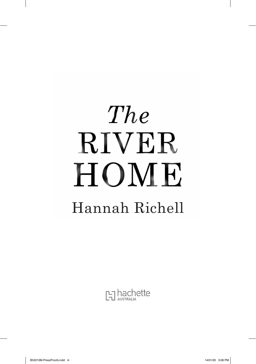# $The$ RIVER HOME Hannah Richell

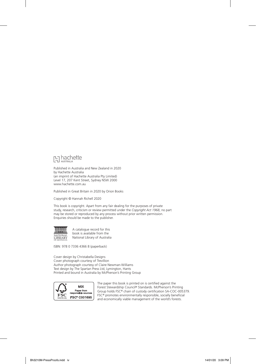

Published in Australia and New Zealand in 2020 by Hachette Australia (an imprint of Hachette Australia Pty Limited) Level 17, 207 Kent Street, Sydney NSW 2000 www.hachette.com.au

Published in Great Britain in 2020 by Orion Books

Copyright © Hannah Richell 2020

This book is copyright. Apart from any fair dealing for the purposes of private study, research, criticism or review permitted under the *Copyright Act 1968*, no part may be stored or reproduced by any process without prior written permission. Enquiries should be made to the publisher.



 A catalogue record for this book is available from the National Library of Australia

ISBN: 978 0 7336 4366 8 (paperback)

Cover design by Christabella Designs Cover photograph courtesy of Trevillion Author photograph courtesy of Claire Newman-Williams Text design by The Spartan Press Ltd, Lymington, Hants Printed and bound in Australia by McPherson's Printing Group



 The paper this book is printed on is certified against the Forest Stewardship Council® Standards. McPherson's Printing Group holds FSC® chain of custody certification SA-COC-005379. FSC® promotes environmentally responsible, socially beneficial and economically viable management of the world's forests.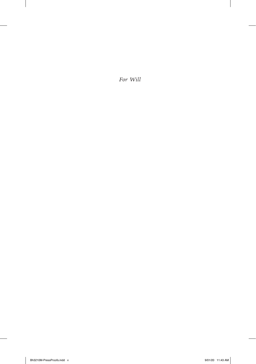*For Will*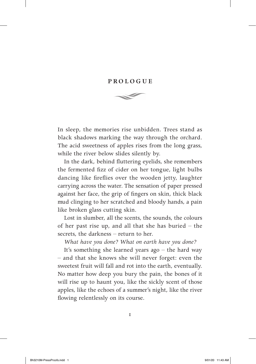# **PROLOGUE**



In sleep, the memories rise unbidden. Trees stand as black shadows marking the way through the orchard. The acid sweetness of apples rises from the long grass, while the river below slides silently by.

In the dark, behind fluttering eyelids, she remembers the fermented fizz of cider on her tongue, light bulbs dancing like fireflies over the wooden jetty, laughter carrying across the water. The sensation of paper pressed against her face, the grip of fingers on skin, thick black mud clinging to her scratched and bloody hands, a pain like broken glass cutting skin.

Lost in slumber, all the scents, the sounds, the colours of her past rise up, and all that she has buried – the secrets, the darkness – return to her.

*What have you done? What on earth have you done?*

It's something she learned years  $ago - the hard way$ – and that she knows she will never forget: even the sweetest fruit will fall and rot into the earth, eventually. No matter how deep you bury the pain, the bones of it will rise up to haunt you, like the sickly scent of those apples, like the echoes of a summer's night, like the river flowing relentlessly on its course.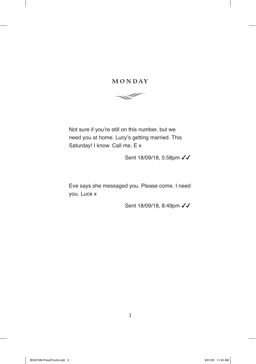# **M O N DAY**



Not sure if you're still on this number, but we need you at home. Lucy's getting married. This Saturday! I know. Call me. E x

Sent 18/09/18, 5:58pm √√

Eve says she messaged you. Please come. I need you. Luce x

Sent 18/09/18, 8:49pm √√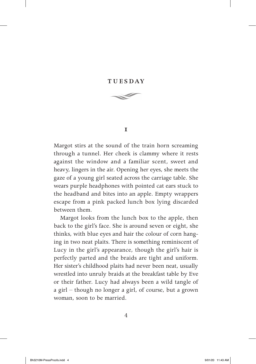## **T U E S DAY**



### **1**

Margot stirs at the sound of the train horn screaming through a tunnel. Her cheek is clammy where it rests against the window and a familiar scent, sweet and heavy, lingers in the air. Opening her eyes, she meets the gaze of a young girl seated across the carriage table. She wears purple headphones with pointed cat ears stuck to the headband and bites into an apple. Empty wrappers escape from a pink packed lunch box lying discarded between them.

Margot looks from the lunch box to the apple, then back to the girl's face. She is around seven or eight, she thinks, with blue eyes and hair the colour of corn hanging in two neat plaits. There is something reminiscent of Lucy in the girl's appearance, though the girl's hair is perfectly parted and the braids are tight and uniform. Her sister's childhood plaits had never been neat, usually wrestled into unruly braids at the breakfast table by Eve or their father. Lucy had always been a wild tangle of a girl – though no longer a girl, of course, but a grown woman, soon to be married.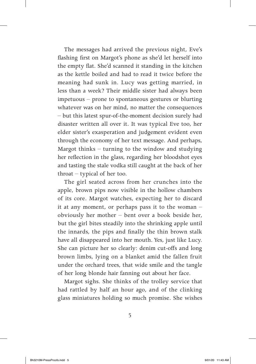The messages had arrived the previous night, Eve's flashing first on Margot's phone as she'd let herself into the empty flat. She'd scanned it standing in the kitchen as the kettle boiled and had to read it twice before the meaning had sunk in. Lucy was getting married, in less than a week? Their middle sister had always been impetuous – prone to spontaneous gestures or blurting whatever was on her mind, no matter the consequences – but this latest spur-of-the-moment decision surely had disaster written all over it. It was typical Eve too, her elder sister's exasperation and judgement evident even through the economy of her text message. And perhaps, Margot thinks – turning to the window and studying her reflection in the glass, regarding her bloodshot eyes and tasting the stale vodka still caught at the back of her  $throat - typical of her too.$ 

The girl seated across from her crunches into the apple, brown pips now visible in the hollow chambers of its core. Margot watches, expecting her to discard it at any moment, or perhaps pass it to the woman – obviously her mother – bent over a book beside her, but the girl bites steadily into the shrinking apple until the innards, the pips and finally the thin brown stalk have all disappeared into her mouth. Yes, just like Lucy. She can picture her so clearly: denim cut-offs and long brown limbs, lying on a blanket amid the fallen fruit under the orchard trees, that wide smile and the tangle of her long blonde hair fanning out about her face.

Margot sighs. She thinks of the trolley service that had rattled by half an hour ago, and of the clinking glass miniatures holding so much promise. She wishes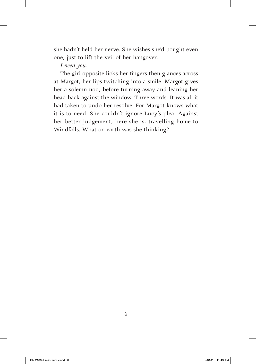she hadn't held her nerve. She wishes she'd bought even one, just to lift the veil of her hangover.

*I need you.*

The girl opposite licks her fingers then glances across at Margot, her lips twitching into a smile. Margot gives her a solemn nod, before turning away and leaning her head back against the window. Three words. It was all it had taken to undo her resolve. For Margot knows what it is to need. She couldn't ignore Lucy's plea. Against her better judgement, here she is, travelling home to Windfalls. What on earth was she thinking?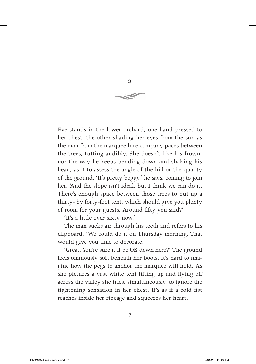

**2**

Eve stands in the lower orchard, one hand pressed to her chest, the other shading her eyes from the sun as the man from the marquee hire company paces between the trees, tutting audibly. She doesn't like his frown, nor the way he keeps bending down and shaking his head, as if to assess the angle of the hill or the quality of the ground. 'It's pretty boggy,' he says, coming to join her. 'And the slope isn't ideal, but I think we can do it. There's enough space between those trees to put up a thirty- by forty-foot tent, which should give you plenty of room for your guests. Around fifty you said?'

'It's a little over sixty now.'

The man sucks air through his teeth and refers to his clipboard. 'We could do it on Thursday morning. That would give you time to decorate.'

'Great. You're sure it'll be OK down here?' The ground feels ominously soft beneath her boots. It's hard to imagine how the pegs to anchor the marquee will hold. As she pictures a vast white tent lifting up and flying off across the valley she tries, simultaneously, to ignore the tightening sensation in her chest. It's as if a cold fist reaches inside her ribcage and squeezes her heart.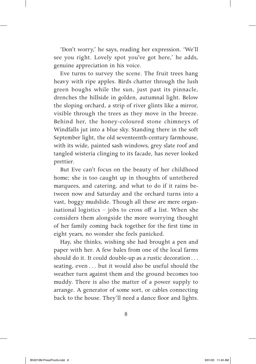'Don't worry,' he says, reading her expression. 'We'll see you right. Lovely spot you've got here,' he adds, genuine appreciation in his voice.

Eve turns to survey the scene. The fruit trees hang heavy with ripe apples. Birds chatter through the lush green boughs while the sun, just past its pinnacle, drenches the hillside in golden, autumnal light. Below the sloping orchard, a strip of river glints like a mirror, visible through the trees as they move in the breeze. Behind her, the honey-coloured stone chimneys of Windfalls jut into a blue sky. Standing there in the soft September light, the old seventeenth-century farmhouse, with its wide, painted sash windows, grey slate roof and tangled wisteria clinging to its facade, has never looked prettier.

But Eve can't focus on the beauty of her childhood home; she is too caught up in thoughts of untethered marquees, and catering, and what to do if it rains between now and Saturday and the orchard turns into a vast, boggy mudslide. Though all these are mere organisational logistics  $-$  jobs to cross off a list. When she considers them alongside the more worrying thought of her family coming back together for the first time in eight years, no wonder she feels panicked.

Hay, she thinks, wishing she had brought a pen and paper with her. A few bales from one of the local farms should do it. It could double-up as a rustic decoration . . . seating, even . . . but it would also be useful should the weather turn against them and the ground becomes too muddy. There is also the matter of a power supply to arrange. A generator of some sort, or cables connecting back to the house. They'll need a dance floor and lights.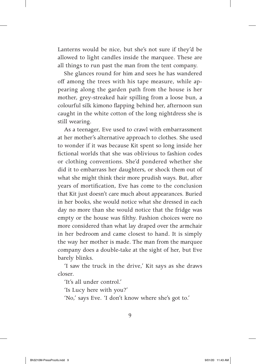Lanterns would be nice, but she's not sure if they'd be allowed to light candles inside the marquee. These are all things to run past the man from the tent company.

She glances round for him and sees he has wandered off among the trees with his tape measure, while appearing along the garden path from the house is her mother, grey-streaked hair spilling from a loose bun, a colourful silk kimono flapping behind her, afternoon sun caught in the white cotton of the long nightdress she is still wearing.

As a teenager, Eve used to crawl with embarrassment at her mother's alternative approach to clothes. She used to wonder if it was because Kit spent so long inside her fictional worlds that she was oblivious to fashion codes or clothing conventions. She'd pondered whether she did it to embarrass her daughters, or shock them out of what she might think their more prudish ways. But, after years of mortification, Eve has come to the conclusion that Kit just doesn't care much about appearances. Buried in her books, she would notice what she dressed in each day no more than she would notice that the fridge was empty or the house was filthy. Fashion choices were no more considered than what lay draped over the armchair in her bedroom and came closest to hand. It is simply the way her mother is made. The man from the marquee company does a double-take at the sight of her, but Eve barely blinks.

'I saw the truck in the drive,' Kit says as she draws closer.

'It's all under control.'

'Is Lucy here with you?'

'No,' says Eve. 'I don't know where she's got to.'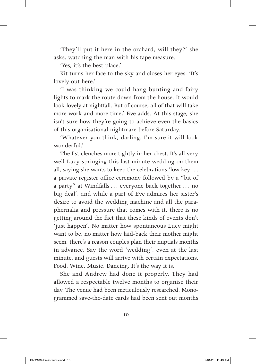'They'll put it here in the orchard, will they?' she asks, watching the man with his tape measure.

'Yes, it's the best place.'

Kit turns her face to the sky and closes her eyes. 'It's lovely out here.'

'I was thinking we could hang bunting and fairy lights to mark the route down from the house. It would look lovely at nightfall. But of course, all of that will take more work and more time,' Eve adds. At this stage, she isn't sure how they're going to achieve even the basics of this organisational nightmare before Saturday.

'Whatever you think, darling. I'm sure it will look wonderful.'

The fist clenches more tightly in her chest. It's all very well Lucy springing this last-minute wedding on them all, saying she wants to keep the celebrations 'low key . . . a private register office ceremony followed by a "bit of a party" at Windfalls . . . everyone back together . . . no big deal', and while a part of Eve admires her sister's desire to avoid the wedding machine and all the paraphernalia and pressure that comes with it, there is no getting around the fact that these kinds of events don't 'just happen'. No matter how spontaneous Lucy might want to be, no matter how laid-back their mother might seem, there's a reason couples plan their nuptials months in advance. Say the word 'wedding', even at the last minute, and guests will arrive with certain expectations. Food. Wine. Music. Dancing. It's the way it is.

She and Andrew had done it properly. They had allowed a respectable twelve months to organise their day. The venue had been meticulously researched. Monogrammed save-the-date cards had been sent out months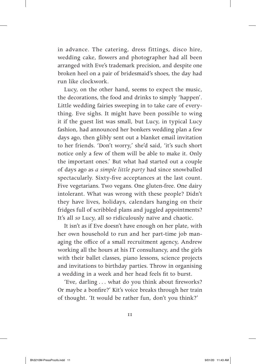in advance. The catering, dress fittings, disco hire, wedding cake, flowers and photographer had all been arranged with Eve's trademark precision, and despite one broken heel on a pair of bridesmaid's shoes, the day had run like clockwork.

Lucy, on the other hand, seems to expect the music, the decorations, the food and drinks to simply 'happen'. Little wedding fairies sweeping in to take care of everything. Eve sighs. It might have been possible to wing it if the guest list was small, but Lucy, in typical Lucy fashion, had announced her bonkers wedding plan a few days ago, then glibly sent out a blanket email invitation to her friends. 'Don't worry,' she'd said, 'it's such short notice only a few of them will be able to make it. Only the important ones.' But what had started out a couple of days ago as *a simple little party* had since snowballed spectacularly. Sixty-five acceptances at the last count. Five vegetarians. Two vegans. One gluten-free. One dairy intolerant. What was wrong with these people? Didn't they have lives, holidays, calendars hanging on their fridges full of scribbled plans and juggled appointments? It's all *so* Lucy, all so ridiculously naïve and chaotic.

It isn't as if Eve doesn't have enough on her plate, with her own household to run and her part-time job managing the office of a small recruitment agency, Andrew working all the hours at his IT consultancy, and the girls with their ballet classes, piano lessons, science projects and invitations to birthday parties. Throw in organising a wedding in a week and her head feels fit to burst.

'Eve, darling . . . what do you think about fireworks? Or maybe a bonfire?' Kit's voice breaks through her train of thought. 'It would be rather fun, don't you think?'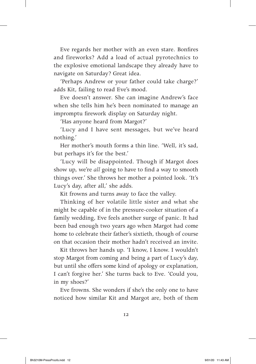Eve regards her mother with an even stare. Bonfires and fireworks? Add a load of actual pyrotechnics to the explosive emotional landscape they already have to navigate on Saturday? Great idea.

'Perhaps Andrew or your father could take charge?' adds Kit, failing to read Eve's mood.

Eve doesn't answer. She can imagine Andrew's face when she tells him he's been nominated to manage an impromptu firework display on Saturday night.

'Has anyone heard from Margot?'

'Lucy and I have sent messages, but we've heard nothing.'

Her mother's mouth forms a thin line. 'Well, it's sad, but perhaps it's for the best.'

'Lucy will be disappointed. Though if Margot does show up, we're *all* going to have to find a way to smooth things over.' She throws her mother a pointed look. 'It's Lucy's day, after all,' she adds.

Kit frowns and turns away to face the valley.

Thinking of her volatile little sister and what she might be capable of in the pressure-cooker situation of a family wedding, Eve feels another surge of panic. It had been bad enough two years ago when Margot had come home to celebrate their father's sixtieth, though of course on that occasion their mother hadn't received an invite.

Kit throws her hands up. 'I know, I know. I wouldn't stop Margot from coming and being a part of Lucy's day, but until she offers some kind of apology or explanation, I can't forgive her.' She turns back to Eve. 'Could you, in my shoes?'

Eve frowns. She wonders if she's the only one to have noticed how similar Kit and Margot are, both of them